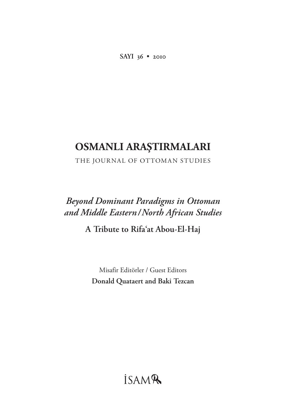**SAYI 36 • 2010**

# **OSMANLI ARAŞTIRMALARI**

THE JOURNAL OF OTTOMAN STUDIES

# *Beyond Dominant Paradigms in Ottoman and Middle Eastern / North African Studies*

**A Tribute to Rifa'at Abou-El-Haj**

Misafir Editörler / Guest Editors **Donald Quataert and Baki Tezcan**

# *İSAMR*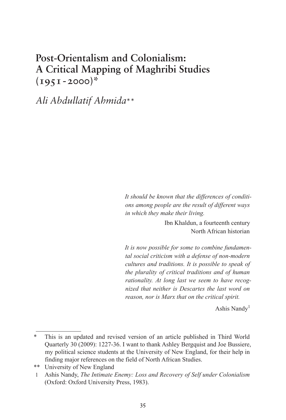## **Post-Orientalism and Colonialism: A Critical Mapping of Maghribi Studies**   $(195I - 2000)^*$

*Ali Abdullatif Ahmida*\*\*

*It should be known that the differences of conditions among people are the result of different ways in which they make their living.*

> Ibn Khaldun, a fourteenth century North African historian

*It is now possible for some to combine fundamental social criticism with a defense of non-modern cultures and traditions. It is possible to speak of the plurality of critical traditions and of human rationality. At long last we seem to have recognized that neither is Descartes the last word on reason, nor is Marx that on the critical spirit.*

Ashis Nandy<sup>1</sup>

<sup>\*</sup> This is an updated and revised version of an article published in Third World Quarterly 30 (2009): 1227-36. I want to thank Ashley Bergquist and Joe Bussiere, my political science students at the University of New England, for their help in finding major references on the field of North African Studies.

<sup>\*\*</sup> University of New England

<sup>1</sup> Ashis Nandy, *The Intimate Enemy: Loss and Recovery of Self under Colonialism* (Oxford: Oxford University Press, 1983).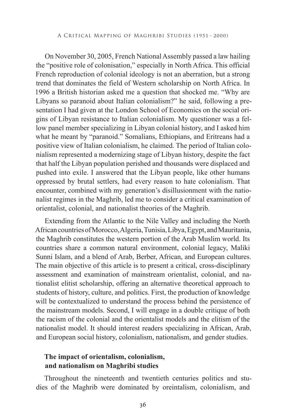On November 30, 2005, French National Assembly passed a law hailing the "positive role of colonisation," especially in North Africa. This official French reproduction of colonial ideology is not an aberration, but a strong trend that dominates the field of Western scholarship on North Africa. In 1996 a British historian asked me a question that shocked me. "Why are Libyans so paranoid about Italian colonialism?" he said, following a presentation I had given at the London School of Economics on the social origins of Libyan resistance to Italian colonialism. My questioner was a fellow panel member specializing in Libyan colonial history, and I asked him what he meant by "paranoid." Somalians, Ethiopians, and Eritreans had a positive view of Italian colonialism, he claimed. The period of Italian colonialism represented a modernizing stage of Libyan history, despite the fact that half the Libyan population perished and thousands were displaced and pushed into exile. I answered that the Libyan people, like other humans oppressed by brutal settlers, had every reason to hate colonialism. That encounter, combined with my generation's disillusionment with the nationalist regimes in the Maghrib, led me to consider a critical examination of orientalist, colonial, and nationalist theories of the Maghrib.

Extending from the Atlantic to the Nile Valley and including the North African countries of Morocco, Algeria, Tunisia, Libya, Egypt, and Mauritania, the Maghrib constitutes the western portion of the Arab Muslim world. Its countries share a common natural environment, colonial legacy, Maliki Sunni Islam, and a blend of Arab, Berber, African, and European cultures. The main objective of this article is to present a critical, cross-disciplinary assessment and examination of mainstream orientalist, colonial, and nationalist elitist scholarship, offering an alternative theoretical approach to students of history, culture, and politics. First, the production of knowledge will be contextualized to understand the process behind the persistence of the mainstream models. Second, I will engage in a double critique of both the racism of the colonial and the orientalist models and the elitism of the nationalist model. It should interest readers specializing in African, Arab, and European social history, colonialism, nationalism, and gender studies.

## **The impact of orientalism, colonialism, and nationalism on Maghribi studies**

Throughout the nineteenth and twentieth centuries politics and studies of the Maghrib were dominated by oreintalism, colonialism, and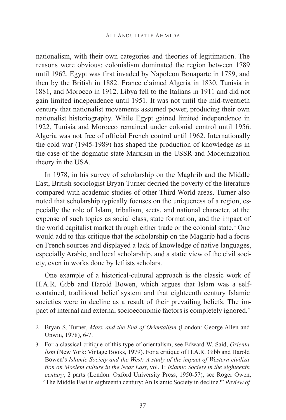nationalism, with their own categories and theories of legitimation. The reasons were obvious: colonialism dominated the region between 1789 until 1962. Egypt was first invaded by Napoleon Bonaparte in 1789, and then by the British in 1882. France claimed Algeria in 1830, Tunisia in 1881, and Morocco in 1912. Libya fell to the Italians in 1911 and did not gain limited independence until 1951. It was not until the mid-twentieth century that nationalist movements assumed power, producing their own nationalist historiography. While Egypt gained limited independence in 1922, Tunisia and Morocco remained under colonial control until 1956. Algeria was not free of official French control until 1962. Internationally the cold war (1945-1989) has shaped the production of knowledge as in the case of the dogmatic state Marxism in the USSR and Modernization theory in the USA.

In 1978, in his survey of scholarship on the Maghrib and the Middle East, British sociologist Bryan Turner decried the poverty of the literature compared with academic studies of other Third World areas. Turner also noted that scholarship typically focuses on the uniqueness of a region, especially the role of Islam, tribalism, sects, and national character, at the expense of such topics as social class, state formation, and the impact of the world capitalist market through either trade or the colonial state.<sup>2</sup> One would add to this critique that the scholarship on the Maghrib had a focus on French sources and displayed a lack of knowledge of native languages, especially Arabic, and local scholarship, and a static view of the civil society, even in works done by leftists scholars.

One example of a historical-cultural approach is the classic work of H.A.R. Gibb and Harold Bowen, which argues that Islam was a selfcontained, traditional belief system and that eighteenth century Islamic societies were in decline as a result of their prevailing beliefs. The impact of internal and external socioeconomic factors is completely ignored.3

<sup>2</sup> Bryan S. Turner, *Marx and the End of Orientalism* (London: George Allen and Unwin, 1978), 6-7.

<sup>3</sup> For a classical critique of this type of orientalism, see Edward W. Said, *Orientalism* (New York: Vintage Books, 1979). For a critique of H.A.R. Gibb and Harold Bowen's *Islamic Society and the West: A study of the impact of Western civilization on Moslem culture in the Near East*, vol. 1: *Islamic Society in the eighteenth century*, 2 parts (London: Oxford University Press, 1950-57), see Roger Owen, "The Middle East in eighteenth century: An Islamic Society in decline?" *Review of*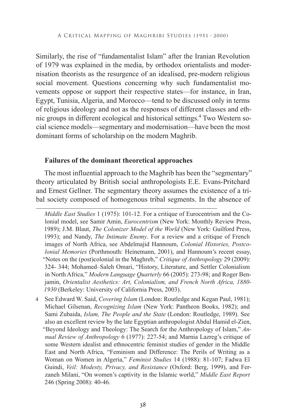Similarly, the rise of "fundamentalist Islam" after the Iranian Revolution of 1979 was explained in the media, by orthodox orientalists and modernisation theorists as the resurgence of an idealised, pre-modern religious social movement. Questions concerning why such fundamentalist movements oppose or support their respective states—for instance, in Iran, Egypt, Tunisia, Algeria, and Morocco—tend to be discussed only in terms of religious ideology and not as the responses of different classes and ethnic groups in different ecological and historical settings.<sup>4</sup> Two Western social science models—segmentary and modernisation—have been the most dominant forms of scholarship on the modern Maghrib.

### **Failures of the dominant theoretical approaches**

The most influential approach to the Maghrib has been the "segmentary" theory articulated by British social anthropologists E.E. Evans-Pritchard and Ernest Gellner. The segmentary theory assumes the existence of a tribal society composed of homogenous tribal segments. In the absence of

*Middle East Studies* 1 (1975): 101-12. For a critique of Eurocentrism and the Colonial model, see Samir Amin, *Eurocentrism* (New York: Monthly Review Press, 1989); J.M. Blaut, *The Colonizer Model of the World* (New York: Guilford Press, 1993); and Nandy, *The Intimate Enemy*. For a review and a critique of French images of North Africa, see Abdelmajid Hannoum, *Colonial Histories, Postcolonial Memories* (Porthmouth: Heinemann, 2001), and Hannoum's recent essay, "Notes on the (post)colonial in the Maghreb," *Critique of Anthropology* 29 (2009): 324- 344; Mohamed–Saleh Omari, "History, Literature, and Settler Colonialism in North Africa," *Modern Language Quarterly* 66 (2005): 273-98; and Roger Benjamin, *Orientalist Aesthetics: Art, Colonialism, and French North Africa, 1880- 1930* (Berkeley: University of California Press, 2003).

4 See Edward W. Said, *Covering Islam* (London: Routledge and Kegan Paul, 1981); Michael Gilsenan, *Recognizing Islam* (New York: Pantheon Books, 1982); and Sami Zubaida, *Islam, The People and the State* (London: Routledge, 1989). See also an excellent review by the late Egyptian anthropologist Abdul Hamid el-Zien, "Beyond Ideology and Theology: The Search for the Anthropology of Islam," *Annual Review of Anthropology* 6 (1977): 227-54; and Marnia Lazreg's critique of some Western idealist and ethnocentric feminist studies of gender in the Middle East and North Africa, "Feminism and Difference: The Perils of Writing as a Woman on Women in Algeria," *Feminist Studies* 14 (1988): 81-107; Fadwa El Guindi, *Veil: Modesty, Privacy, and Resistance* (Oxford: Berg, 1999), and Ferzaneh Milani, "On women's captivity in the Islamic world," *Middle East Report* 246 (Spring 2008): 40-46.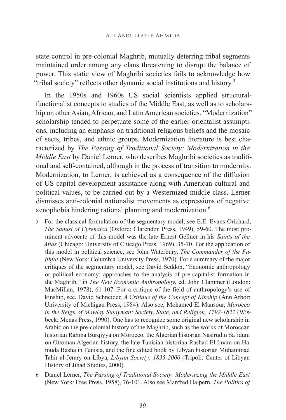state control in pre-colonial Maghrib, mutually deterring tribal segments maintained order among any clans threatening to disrupt the balance of power. This static view of Maghribi societies fails to acknowledge how "tribal society" reflects other dynamic social institutions and history.5

In the 1950s and 1960s US social scientists applied structuralfunctionalist concepts to studies of the Middle East, as well as to scholarship on other Asian, African, and Latin American societies. "Modernization" scholarship tended to perpetuate some of the earlier orientalist assumptions, including an emphasis on traditional religious beliefs and the mosaic of sects, tribes, and ethnic groups. Modernization literature is best characterized by *The Passing of Traditional Society: Modernization in the Middle East* by Daniel Lerner, who describes Maghribi societies as traditional and self-contained, although in the process of transition to modernity. Modernization, to Lerner, is achieved as a consequence of the diffusion of US capital development assistance along with American cultural and political values, to be carried out by a Westernized middle class. Lerner dismisses anti-colonial nationalist movements as expressions of negative xenophobia hindering rational planning and modernization.6

<sup>5</sup> For the classical formulation of the segmentary model, see E.E. Evans-Orichard, *The Sanusi of Cyrenaica* (Oxford: Clarendon Press, 1949), 59-60. The most prominent advocate of this model was the late Ernest Gellner in his *Saints of the Atlas* (Chicago: University of Chicago Press, 1969), 35-70. For the application of this model in political science, see John Waterbury, *The Commander of the Faithful* (New York: Columbia University Press, 1970). For a summary of the major critiques of the segmentary model, see David Seddon, "Economic anthropology or political economy: approaches to the analysis of pre-capitalist formation in the Maghrib," in *The New Economic Anthropology*, ed. John Clammer (London: MacMillan, 1978), 61-107. For a critique of the field of anthropology's use of kinship, see, David Schneider, *A Critique of the Concept of Kinship* (Ann Arbor: University of Michigan Press, 1984). Also see, Mohamed El Mansour, *Morocco in the Reign of Mawlay Sulayman: Society, State, and Religion, 1792-1822* (Wisbeck: Menas Press, 1990). One has to recognize some original new scholarship in Arabic on the pre-colonial history of the Maghrib, such as the works of Moroccan historian Rahma Burqiyya on Morocco, the Algerian historian Nasirudin Sa'iduni on Ottoman Algerian history, the late Tunisian historian Rashad El Imam on Hamuda Basha in Tunisia, and the fine edited book by Libyan historian Muhammad Tahir al-Jerary on Libya, *Libyan Society: 1835-2000* (Tripoli: Center of Libyan History of Jihad Studies, 2000).

<sup>6</sup> Daniel Lerner, *The Passing of Traditional Society: Modernizing the Middle East* (New York: Free Press, 1958), 76-101. Also see Manfred Halpern, *The Politics of*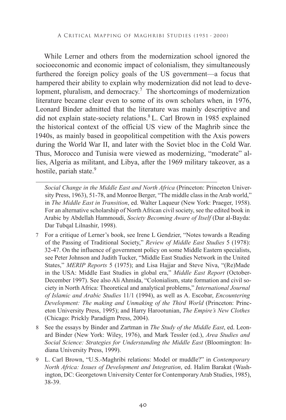While Lerner and others from the modernization school ignored the socioeconomic and economic impact of colonialism, they simultaneously furthered the foreign policy goals of the US government—a focus that hampered their ability to explain why modernization did not lead to development, pluralism, and democracy.<sup>7</sup> The shortcomings of modernization literature became clear even to some of its own scholars when, in 1976, Leonard Binder admitted that the literature was mainly descriptive and did not explain state-society relations.8 L. Carl Brown in 1985 explained the historical context of the official US view of the Maghrib since the 1940s, as mainly based in geopolitical competition with the Axis powers during the World War II, and later with the Soviet bloc in the Cold War. Thus, Morocco and Tunisia were viewed as modernizing, "moderate" allies, Algeria as militant, and Libya, after the 1969 military takeover, as a hostile, pariah state.<sup>9</sup>

*Social Change in the Middle East and North Africa* (Princeton: Princeton University Press, 1963), 51-78, and Monroe Berger, "The middle class in the Arab world," in *The Middle East in Transition*, ed. Walter Laqueur (New York: Praeger, 1958). For an alternative scholarship of North African civil society, see the edited book in Arabic by Abdellah Hammoudi, *Society Becoming Aware of Itself* (Dar al-Bayda: Dar Tubqal Lilnashir, 1998).

- 7 For a critique of Lerner's book, see Irene L Gendzier, "Notes towards a Reading of the Passing of Traditional Society," *Review of Middle East Studies* 5 (1978): 32-47. On the influence of government policy on some Middle Eastern specialists, see Peter Johnson and Judith Tucker, "Middle East Studies Network in the United States," *MERIP Reports* 5 (1975); and Lisa Hajjar and Steve Niva, "(Re)Made in the USA: Middle East Studies in global era," *Middle East Report* (October-December 1997). See also Ali Ahmida, "Colonialism, state formation and civil society in North Africa: Theoretical and analytical problems," *International Journal of Islamic and Arabic Studies* 11/1 (1994), as well as A. Escobar, *Encountering Development: The making and Unmaking of the Third World* (Princeton: Princeton University Press, 1995); and Harry Harootunian, *The Empire's New Clothes* (Chicago: Prickly Paradigm Press, 2004).
- 8 See the essays by Binder and Zartman in *The Study of the Middle East*, ed. Leonard Binder (New York: Wiley, 1976), and Mark Tessler (ed.), *Area Studies and Social Science: Strategies for Understanding the Middle East* (Bloomington: Indiana University Press, 1999).
- 9 L. Carl Brown, "U.S.-Maghribi relations: Model or muddle?" in *Contemporary North Africa: Issues of Development and Integration*, ed. Halim Barakat (Washington, DC: Georgetown University Center for Contemporary Arab Studies, 1985), 38-39.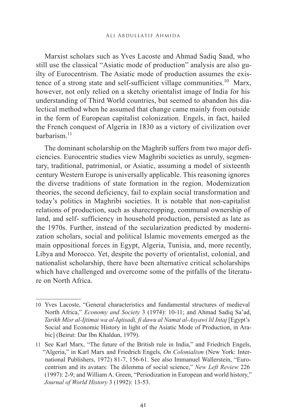Marxist scholars such as Yves Lacoste and Ahmad Sadiq Saad, who still use the classical "Asiatic mode of production" analysis are also guilty of Eurocentrism. The Asiatic mode of production assumes the existence of a strong state and self-sufficient village communities.<sup>10</sup> Marx, however, not only relied on a sketchy orientalist image of India for his understanding of Third World countries, but seemed to abandon his dialectical method when he assumed that change came mainly from outside in the form of European capitalist colonization. Engels, in fact, hailed the French conquest of Algeria in 1830 as a victory of civilization over barbarism<sup>11</sup>

The dominant scholarship on the Maghrib suffers from two major deficiencies. Eurocentric studies view Maghribi societies as unruly, segmentary, traditional, patrimonial, or Asiatic, assuming a model of sixteenth century Western Europe is universally applicable. This reasoning ignores the diverse traditions of state formation in the region. Modernization theories, the second deficiency, fail to explain social transformation and today's politics in Maghribi societies. It is notable that non-capitalist relations of production, such as sharecropping, communal ownership of land, and self- sufficiency in household production, persisted as late as the 1970s. Further, instead of the secularization predicted by modernization scholars, social and political Islamic movements emerged as the main oppositional forces in Egypt, Algeria, Tunisia, and, more recently, Libya and Morocco. Yet, despite the poverty of orientalist, colonial, and nationalist scholarship, there have been alternative critical scholarships which have challenged and overcome some of the pitfalls of the literature on North Africa.

<sup>10</sup> Yves Lacoste, "General characteristics and fundamental structures of medieval North Africa," *Economy and Society* 3 (1974): 10-11; and Ahmad Sadiq Sa'ad, *Tarikh Misr al-Ijtimai wa al-Iqtisadi, fi dawu al Namat al-Asyawi lil Intaj* [Egypt's Social and Economic History in light of the Asiatic Mode of Production, in Arabic] (Beirut: Dar Ibn Khaldun, 1979).

<sup>11</sup> See Karl Marx, "The future of the British rule in India," and Friedrich Engels, "Algeria," in Karl Marx and Friedrich Engels, *On Colonialism* (New York: International Publishers, 1972) 81-7, 156-61. See also Immanuel Wallerstein, "Eurocentrism and its avatars: The dilemma of social science," *New Left Review* 226 (1997): 2-9; and William A. Green, "Periodization in European and world history," *Journal of World History* 3 (1992): 13-53.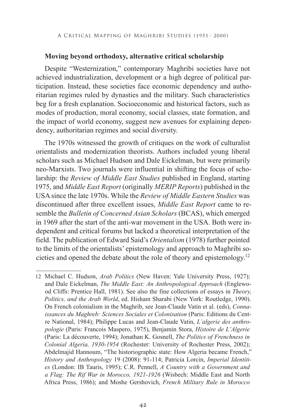## **Moving beyond orthodoxy, alternative critical scholarship**

Despite "Westernization," contemporary Maghribi societies have not achieved industrialization, development or a high degree of political participation. Instead, these societies face economic dependency and authoritarian regimes ruled by dynasties and the military. Such characteristics beg for a fresh explanation. Socioeconomic and historical factors, such as modes of production, moral economy, social classes, state formation, and the impact of world economy, suggest new avenues for explaining dependency, authoritarian regimes and social diversity.

The 1970s witnessed the growth of critiques on the work of culturalist orientalists and modernization theorists. Authors included young liberal scholars such as Michael Hudson and Dale Eickelman, but were primarily neo-Marxists. Two journals were influential in shifting the focus of scholarship: the *Review of Middle East Studies* published in England, starting 1975, and *Middle East Report* (originally *MERIP Reports*) published in the USA since the late 1970s. While the *Review of Middle Eastern Studies* was discontinued after three excellent issues, *Middle East Report* came to resemble the *Bulletin of Concerned Asian Scholars* (BCAS), which emerged in 1969 after the start of the anti-war movement in the USA. Both were independent and critical forums but lacked a theoretical interpretation of the field. The publication of Edward Said's *Orientalism* (1978) further pointed to the limits of the orientalists' epistemology and approach to Maghribi societies and opened the debate about the role of theory and epistemology.12

<sup>12</sup> Michael C. Hudson, *Arab Politics* (New Haven: Yale University Press, 1927); and Dale Eickelman, *The Middle East: An Anthropological Approach* (Englewood Cliffs: Prentice Hall, 1981). See also the fine collections of essays in *Theory, Politics, and the Arab World*, ed. Hisham Sharabi (New York: Routledge, 1990). On French colonialism in the Maghrib, see Jean-Claude Vatin et al. (eds), *Connaissances du Maghreb: Sciences Sociales et Colonisation* (Paris: Editions du Centre National, 1984); Philippe Lucas and Jean-Claude Vatin, *L'algerie des anthropologie* (Paris: Francois Maspero, 1975), Benjamin Stora, *Histoire de L'Algerie* (Paris: La découverte, 1994); Jonathan K. Gosnell, *The Politics of Frenchness in Colonial Algeria, 1930-1954* (Rochester: University of Rochester Press, 2002); Abdelmajid Hannoum, "The historiographic state: How Algeria became French," *History and Anthropology* 19 (2008): 91-114; Patricia Lorcin, *Imperial Identities* (London: IB Tauris, 1995); C.R. Pennell, *A Country with a Government and a Flag: The Rif War in Morocco, 1921-1926* (Wisbech: Middle East and North Africa Press, 1986); and Moshe Gershovich, *French Military Rule in Morocco*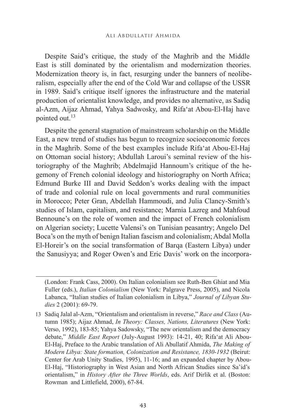Despite Said's critique, the study of the Maghrib and the Middle East is still dominated by the orientalism and modernization theories. Modernization theory is, in fact, resurging under the banners of neoliberalism, especially after the end of the Cold War and collapse of the USSR in 1989. Said's critique itself ignores the infrastructure and the material production of orientalist knowledge, and provides no alternative, as Sadiq al-Azm, Aijaz Ahmad, Yahya Sadwosky, and Rifa'at Abou-El-Haj have pointed out.13

Despite the general stagnation of mainstream scholarship on the Middle East, a new trend of studies has begun to recognize socioeconomic forces in the Maghrib. Some of the best examples include Rifa'at Abou-El-Haj on Ottoman social history; Abdullah Laroui's seminal review of the historiography of the Maghrib; Abdelmajid Hannoum's critique of the hegemony of French colonial ideology and historiography on North Africa; Edmund Burke III and David Seddon's works dealing with the impact of trade and colonial rule on local governments and rural communities in Morocco; Peter Gran, Abdellah Hammoudi, and Julia Clancy-Smith's studies of Islam, capitalism, and resistance; Marnia Lazreg and Mahfoud Bennoune's on the role of women and the impact of French colonialism on Algerian society; Lucette Valensi's on Tunisian peasantry; Angelo Del Boca's on the myth of benign Italian fascism and colonialism; Abdal Molla El-Horeir's on the social transformation of Barqa (Eastern Libya) under the Sanusiyya; and Roger Owen's and Eric Davis' work on the incorpora-

<sup>(</sup>London: Frank Cass, 2000). On Italian colonialism see Ruth-Ben Ghiat and Mia Fuller (eds.), *Italian Colonialism* (New York: Palgrave Press, 2005), and Nicola Labanca, "Italian studies of Italian colonialism in Libya," *Journal of Libyan Studies* 2 (2001): 69-79.

<sup>13</sup> Sadiq Jalal al-Azm, "Orientalism and orientalism in reverse," *Race and Class* (Autumn 1985); Aijaz Ahmad, *In Theory: Classes, Nations, Literatures* (New York: Verso, 1992), 183-85; Yahya Sadowsky, "The new orientalism and the democracy debate," *Middle East Report* (July-August 1993): 14-21, 40; Rifa'at Ali Abou-El-Haj, Preface to the Arabic translation of Ali Abullatif Ahmida, *The Making of Modern Libya: State formation, Colonization and Resistance, 1830-1932* (Beirut: Center for Arab Unity Studies, 1995), 11-16; and an expanded chapter by Abou-El-Haj, "Historiography in West Asian and North African Studies since Sa'id's orientalism," in *History After the Three Worlds*, eds. Arif Dirlik et al. (Boston: Rowman and Littlefield, 2000), 67-84.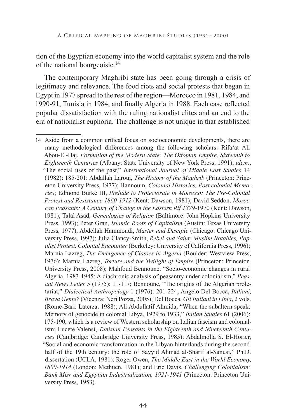tion of the Egyptian economy into the world capitalist system and the role of the national bourgeoisie.14

The contemporary Maghribi state has been going through a crisis of legitimacy and relevance. The food riots and social protests that began in Egypt in 1977 spread to the rest of the region—Morocco in 1981, 1984, and 1990-91, Tunisia in 1984, and finally Algeria in 1988. Each case reflected popular dissatisfaction with the ruling nationalist elites and an end to the era of nationalist euphoria. The challenge is not unique in that established

<sup>14</sup> Aside from a common critical focus on socioeconomic developments, there are many methodological differences among the following scholars: Rifa'at Ali Abou-El-Haj, *Formation of the Modern State: The Ottoman Empire, Sixteenth to Eighteenth Centuries* (Albany: State University of New York Press, 1991); *idem*., "The social uses of the past," *International Journal of Middle East Studies* 14 (1982): 185-201; Abdallah Laroui, *The History of the Maghrib* (Princeton: Princeton University Press, 1977); Hannoum, *Colonial Histories, Post colonial Memories*; Edmond Burke III, *Prelude to Protectorate in Morocco: The Pre-Colonial Protest and Resistance 1860-1912* (Kent: Dawson, 1981); David Seddon, *Moroccan Peasants: A Century of Change in the Eastern Rif 1879-*1970 (Kent: Dawson, 1981); Talal Asad, *Genealogies of Religion* (Baltimore: John Hopkins University Press, 1993); Peter Gran, *Islamic Roots of Capitalism* (Austin: Texas University Press, 1977), Abdellah Hammoudi, *Master and Disciple* (Chicago: Chicago University Press, 1997); Julia Clancy-Smith, *Rebel and Saint: Muslim Notables, Populist Protest, Colonial Encounter* (Berkeley: University of California Press, 1996); Marnia Lazreg, *The Emergence of Classes in Algeria* (Boulder: Westview Press, 1976); Marnia Lazreg, *Torture and the Twilight of Empire* (Princeton: Princeton University Press, 2008); Mahfoud Bennoune, "Socio-economic changes in rural Algeria, 1983-1945: A diachronic analysis of peasantry under colonialism," *Peasant News Letter* 5 (1975): 11-117; Bennoune, "The origins of the Algerian proletariat," *Dialectical Anthropology* 1 (1976): 201-224; Angelo Del Bocca, *Italiani, Brava Gente?* (Vicenza: Neri Pozza, 2005); Del Bocca, *Gli Italiani in Libia*, 2 vols. (Rome-Bari: Laterza, 1988); Ali Abdullatif Ahmida, "When the subaltern speak: Memory of genocide in colonial Libya, 1929 to 1933," *Italian Studies* 61 (2006): 175-190, which is a review of Western scholarship on Italian fascism and colonialism; Lucete Valensi, *Tunisian Peasants in the Eighteenth and Nineteenth Centuries* (Cambridge: Cambridge University Press, 1985); Abdalmolla S. El-Horier, "Social and economic transformation in the Libyan hinterlands during the second half of the 19th century: the role of Sayyid Ahmad al-Sharif al-Sanusi," Ph.D. dissertation (UCLA, 1981); Roger Owen, *The Middle East in the World Economy, 1800-1914* (London: Methuen, 1981); and Eric Davis, *Challenging Colonialism: Bank Misr and Egyptian Industrialization, 1921-1941* (Princeton: Princeton University Press, 1953).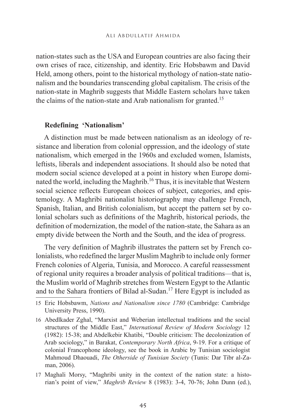nation-states such as the USA and European countries are also facing their own crises of race, citizenship, and identity. Eric Hobsbawm and David Held, among others, point to the historical mythology of nation-state nationalism and the boundaries transcending global capitalism. The crisis of the nation-state in Maghrib suggests that Middle Eastern scholars have taken the claims of the nation-state and Arab nationalism for granted.<sup>15</sup>

#### **Redefining 'Nationalism'**

A distinction must be made between nationalism as an ideology of resistance and liberation from colonial oppression, and the ideology of state nationalism, which emerged in the 1960s and excluded women, Islamists, leftists, liberals and independent associations. It should also be noted that modern social science developed at a point in history when Europe dominated the world, including the Maghrib.<sup>16</sup> Thus, it is inevitable that Western social science reflects European choices of subject, categories, and epistemology. A Maghribi nationalist historiography may challenge French, Spanish, Italian, and British colonialism, but accept the pattern set by colonial scholars such as definitions of the Maghrib, historical periods, the definition of modernization, the model of the nation-state, the Sahara as an empty divide between the North and the South, and the idea of progress.

The very definition of Maghrib illustrates the pattern set by French colonialists, who redefined the larger Muslim Maghrib to include only former French colonies of Algeria, Tunisia, and Morocco. A careful reassessment of regional unity requires a broader analysis of political traditions—that is, the Muslim world of Maghrib stretches from Western Egypt to the Atlantic and to the Sahara frontiers of Bilad al-Sudan.17 Here Egypt is included as

<sup>15</sup> Eric Hobsbawm, *Nations and Nationalism since 1780* (Cambridge: Cambridge University Press, 1990).

<sup>16</sup> Abedlkader Zghal, "Marxist and Weberian intellectual traditions and the social structures of the Middle East," *International Review of Modern Sociology* 12 (1982): 15-38; and Abdelkebir Khatibi, "Double criticism: The decolonization of Arab sociology," in Barakat, *Contemporary North Africa*, 9-19. For a critique of colonial Francophone ideology, see the book in Arabic by Tunisian sociologist Mahmoud Dhaouadi, *The Otherside of Tunisian Society* (Tunis: Dar Tibr al-Zaman, 2006).

<sup>17</sup> Maghali Morsy, "Maghribi unity in the context of the nation state: a historian's point of view," *Maghrib Review* 8 (1983): 3-4, 70-76; John Dunn (ed.),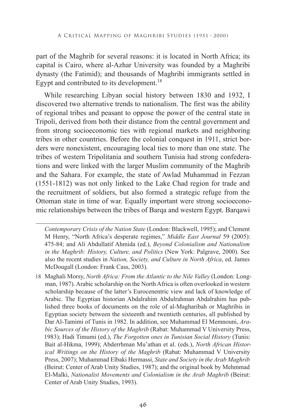part of the Maghrib for several reasons: it is located in North Africa; its capital is Cairo, where al-Azhar University was founded by a Maghribi dynasty (the Fatimid); and thousands of Maghribi immigrants settled in Egypt and contributed to its development.<sup>18</sup>

While researching Libyan social history between 1830 and 1932, I discovered two alternative trends to nationalism. The first was the ability of regional tribes and peasant to oppose the power of the central state in Tripoli, derived from both their distance from the central government and from strong socioeconomic ties with regional markets and neighboring tribes in other countries. Before the colonial conquest in 1911, strict borders were nonexistent, encouraging local ties to more than one state. The tribes of western Tripolitania and southern Tunisia had strong confederations and were linked with the larger Muslim community of the Maghrib and the Sahara. For example, the state of Awlad Muhammad in Fezzan (1551-1812) was not only linked to the Lake Chad region for trade and the recruitment of soldiers, but also formed a strategic refuge from the Ottoman state in time of war. Equally important were strong socioeconomic relationships between the tribes of Barqa and western Egypt. Barqawi

*Contemporary Crisis of the Nation State* (London: Blackwell, 1995); and Clement M Henry, "North Africa's desperate regimes," *Middle East Journal* 59 (2005): 475-84; and Ali Abdullatif Ahmida (ed.), *Beyond Colonialism and Nationalism in the Maghrib: History, Culture, and Politics* (New York: Palgrave, 2000). See also the recent studies in *Nation, Society, and Culture in North Africa*, ed. James McDougall (London: Frank Cass, 2003).

18 Maghali Morsy, *North Africa: From the Atlantic to the Nile Valley* (London: Longman, 1987). Arabic scholarship on the North Africa is often overlooked in western scholarship because of the latter's Eurocenentric view and lack of knowledge of Arabic. The Egyptian historian Abdalrahim Abdulrahman Abdalrahim has published three books of documents on the role of al-Magharibah or Maghribis in Egyptian society between the sixteenth and twentieth centuries, all published by Dar Al-Tamimi of Tunis in 1982. In addition, see Muhammad El Memnouni, *Arabic Sources of the History of the Maghrib* (Rabat: Muhammad V University Press, 1983); Hadi Timumi (ed.), *The Forgotten ones in Tunisian Social History* (Tunis: Bait al-Hikma, 1999); Abderrhman Mu'athan et al. (eds.), *North African Historical Writings on the History of the Maghrib* (Rabat: Muhammad V University Press, 2007); Muhammad Elbaki Hermassi, *State and Society in the Arab Maghrib*  (Beirut: Center of Arab Unity Studies, 1987); and the original book by Mehmmad El-Malki, *Nationalist Movements and Colonialism in the Arab Maghrib* (Beirut: Center of Arab Unity Studies, 1993).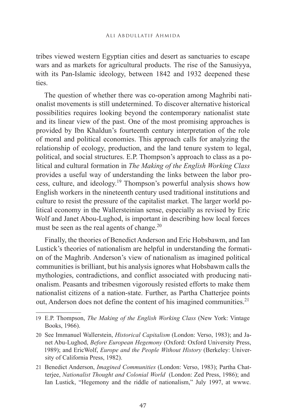tribes viewed western Egyptian cities and desert as sanctuaries to escape wars and as markets for agricultural products. The rise of the Sanusiyya, with its Pan-Islamic ideology, between 1842 and 1932 deepened these ties.

The question of whether there was co-operation among Maghribi nationalist movements is still undetermined. To discover alternative historical possibilities requires looking beyond the contemporary nationalist state and its linear view of the past. One of the most promising approaches is provided by Ibn Khaldun's fourteenth century interpretation of the role of moral and political economies. This approach calls for analyzing the relationship of ecology, production, and the land tenure system to legal, political, and social structures. E.P. Thompson's approach to class as a political and cultural formation in *The Making of the English Working Class*  provides a useful way of understanding the links between the labor process, culture, and ideology.19 Thompson's powerful analysis shows how English workers in the nineteenth century used traditional institutions and culture to resist the pressure of the capitalist market. The larger world political economy in the Wallersteinian sense, especially as revised by Eric Wolf and Janet Abou-Lughod, is important in describing how local forces must be seen as the real agents of change. $^{20}$ 

Finally, the theories of Benedict Anderson and Eric Hobsbawm, and Ian Lustick's theories of nationalism are helpful in understanding the formation of the Maghrib. Anderson's view of nationalism as imagined political communities is brilliant, but his analysis ignores what Hobsbawm calls the mythologies, contradictions, and conflict associated with producing nationalism. Peasants and tribesmen vigorously resisted efforts to make them nationalist citizens of a nation-state. Further, as Partha Chatterjee points out, Anderson does not define the content of his imagined communities.<sup>21</sup>

<sup>19</sup> E.P. Thompson, *The Making of the English Working Class* (New York: Vintage Books, 1966).

<sup>20</sup> See Immanuel Wallerstein, *Historical Capitalism* (London: Verso, 1983); and Janet Abu-Lughod, *Before European Hegemony* (Oxford: Oxford University Press, 1989); and EricWolf, *Europe and the People Without History* (Berkeley: University of California Press, 1982).

<sup>21</sup> Benedict Anderson, *Imagined Communities* (London: Verso, 1983); Partha Chatterjee, *Nationalist Thought and Colonial World* (London: Zed Press, 1986); and Ian Lustick, "Hegemony and the riddle of nationalism," July 1997, at wwwc.